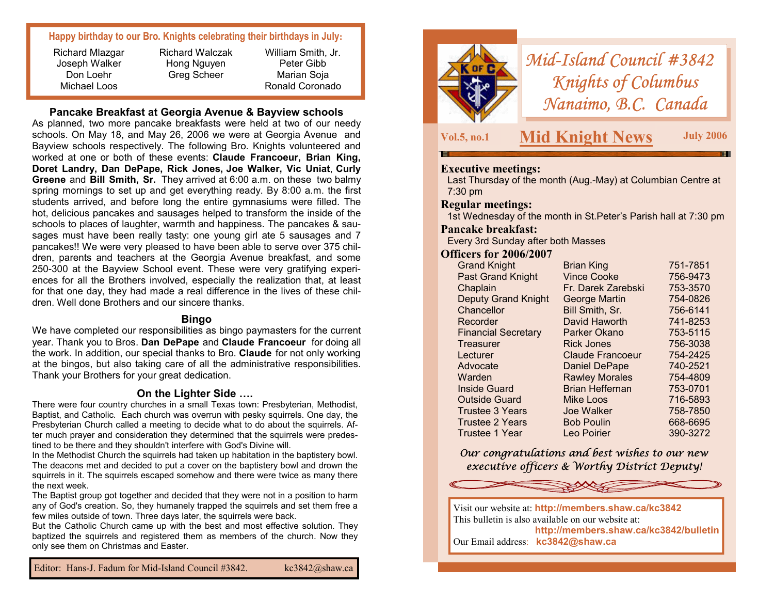## **Happy birthday to our Bro. Knights celebrating their birthdays in July:**

Richard Walczak Hong Nguyen Greg Scheer

Peter Gibb Marian Soja Ronald Coronado

William Smith, Jr.

**Pancake Breakfast at Georgia Avenue & Bayview schools** 

As planned, two more pancake breakfasts were held at two of our needy schools. On May 18, and May 26, 2006 we were at Georgia Avenue and Bayview schools respectively. The following Bro. Knights volunteered and worked at one or both of these events: **Claude Francoeur, Brian King, Doret Landry, Dan DePape, Rick Jones, Joe Walker, Vic Uniat**, **Curly Greene** and **Bill Smith, Sr.** They arrived at 6:00 a.m. on these two balmy spring mornings to set up and get everything ready. By 8:00 a.m. the first students arrived, and before long the entire gymnasiums were filled. The hot, delicious pancakes and sausages helped to transform the inside of the schools to places of laughter, warmth and happiness. The pancakes & sausages must have been really tasty: one young girl ate 5 sausages and 7 pancakes!! We were very pleased to have been able to serve over 375 children, parents and teachers at the Georgia Avenue breakfast, and some 250-300 at the Bayview School event. These were very gratifying experiences for all the Brothers involved, especially the realization that, at least for that one day, they had made a real difference in the lives of these children. Well done Brothers and our sincere thanks.

#### **Bingo**

We have completed our responsibilities as bingo paymasters for the current year. Thank you to Bros. **Dan DePape** and **Claude Francoeur** for doing all the work. In addition, our special thanks to Bro. **Claude** for not only working at the bingos, but also taking care of all the administrative responsibilities. Thank your Brothers for your great dedication.

### **On the Lighter Side ….**

There were four country churches in a small Texas town: Presbyterian, Methodist, Baptist, and Catholic. Each church was overrun with pesky squirrels. One day, the Presbyterian Church called a meeting to decide what to do about the squirrels. After much prayer and consideration they determined that the squirrels were predestined to be there and they shouldn't interfere with God's Divine will.

In the Methodist Church the squirrels had taken up habitation in the baptistery bowl. The deacons met and decided to put a cover on the baptistery bowl and drown the squirrels in it. The squirrels escaped somehow and there were twice as many there the next week.

The Baptist group got together and decided that they were not in a position to harm any of God's creation. So, they humanely trapped the squirrels and set them free a few miles outside of town. Three days later, the squirrels were back.

But the Catholic Church came up with the best and most effective solution. They baptized the squirrels and registered them as members of the church. Now they only see them on Christmas and Easter.



*Mid-Island Council #3842 Knights of Columbus Nanaimo, B.C. Canada* 

**Vol.5, no.1 Mid Knight News July 2006** 

### **Executive meetings:**

Last Thursday of the month (Aug.-May) at Columbian Centre at 7:30 pm

#### **Regular meetings:**

1st Wednesday of the month in St.Peter's Parish hall at 7:30 pm

#### **Pancake breakfast:**

Every 3rd Sunday after both Masses

#### **Officers for 2006/2007**

| <b>Grand Knight</b>        | <b>Brian King</b>       | 751-7851 |
|----------------------------|-------------------------|----------|
| <b>Past Grand Knight</b>   | <b>Vince Cooke</b>      | 756-9473 |
| Chaplain                   | Fr. Darek Zarebski      | 753-3570 |
| <b>Deputy Grand Knight</b> | <b>George Martin</b>    | 754-0826 |
| Chancellor                 | Bill Smith, Sr.         | 756-6141 |
| Recorder                   | David Haworth           | 741-8253 |
| <b>Financial Secretary</b> | Parker Okano            | 753-5115 |
| Treasurer                  | <b>Rick Jones</b>       | 756-3038 |
| Lecturer                   | <b>Claude Francoeur</b> | 754-2425 |
| Advocate                   | <b>Daniel DePape</b>    | 740-2521 |
| Warden                     | <b>Rawley Morales</b>   | 754-4809 |
| Inside Guard               | <b>Brian Heffernan</b>  | 753-0701 |
| <b>Outside Guard</b>       | Mike Loos               | 716-5893 |
| <b>Trustee 3 Years</b>     | Joe Walker              | 758-7850 |
| <b>Trustee 2 Years</b>     | <b>Bob Poulin</b>       | 668-6695 |
| Trustee 1 Year             | Leo Poirier             | 390-3272 |

*Our congratulations and best wishes to our new executive officers & Worthy District Deputy!*